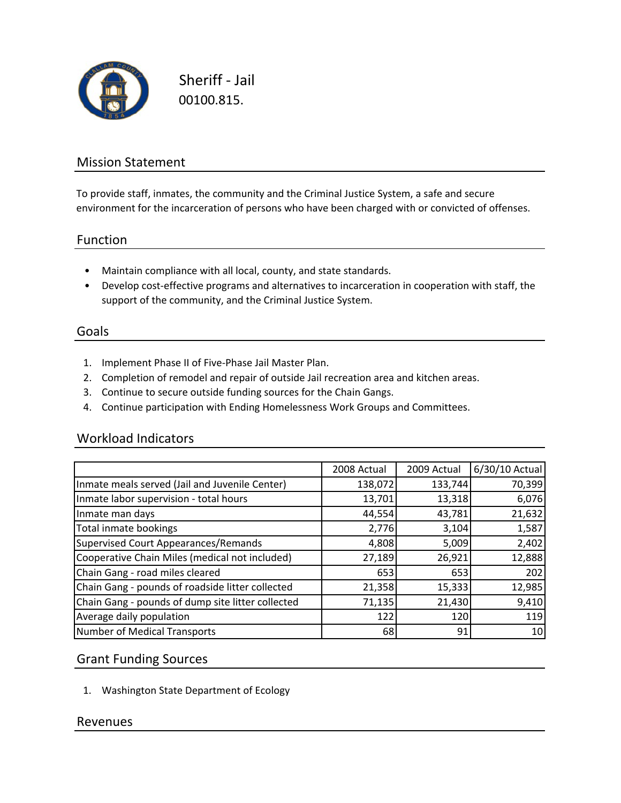

Sheriff ‐ Jail 00100.815.

# Mission Statement

To provide staff, inmates, the community and the Criminal Justice System, a safe and secure environment for the incarceration of persons who have been charged with or convicted of offenses.

#### Function

- Maintain compliance with all local, county, and state standards.
- Develop cost‐effective programs and alternatives to incarceration in cooperation with staff, the support of the community, and the Criminal Justice System.

#### Goals

- 1. Implement Phase II of Five‐Phase Jail Master Plan.
- 2. Completion of remodel and repair of outside Jail recreation area and kitchen areas.
- 3. Continue to secure outside funding sources for the Chain Gangs.
- 4. Continue participation with Ending Homelessness Work Groups and Committees.

#### Workload Indicators

|                                                   | 2008 Actual | 2009 Actual | 6/30/10 Actual |
|---------------------------------------------------|-------------|-------------|----------------|
| Inmate meals served (Jail and Juvenile Center)    | 138,072     | 133,744     | 70,399         |
| Inmate labor supervision - total hours            | 13,701      | 13,318      | 6,076          |
| Inmate man days                                   | 44,554      | 43,781      | 21,632         |
| Total inmate bookings                             | 2,776       | 3,104       | 1,587          |
| Supervised Court Appearances/Remands              | 4,808       | 5,009       | 2,402          |
| Cooperative Chain Miles (medical not included)    | 27,189      | 26,921      | 12,888         |
| Chain Gang - road miles cleared                   | 653         | 653         | 202            |
| Chain Gang - pounds of roadside litter collected  | 21,358      | 15,333      | 12,985         |
| Chain Gang - pounds of dump site litter collected | 71,135      | 21,430      | 9,410          |
| Average daily population                          | 122         | 120         | 119            |
| Number of Medical Transports                      | 68          | 91          | 10             |

## Grant Funding Sources

1. Washington State Department of Ecology

## Revenues